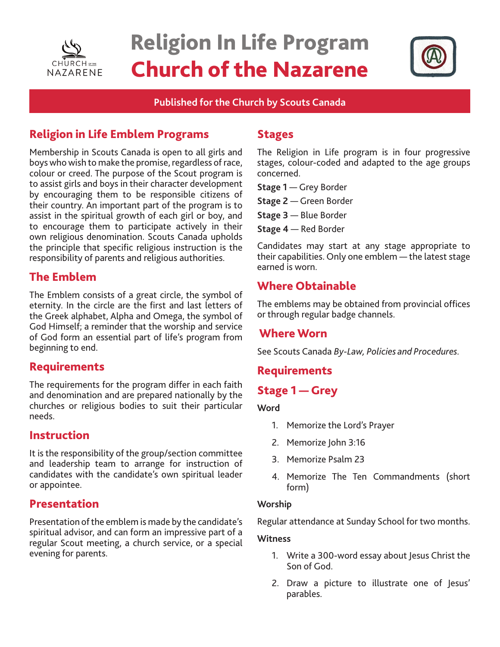

# Religion In Life Program Church of the Nazarene



### **Published for the Church by Scouts Canada**

# Religion in Life Emblem Programs

Membership in Scouts Canada is open to all girls and boys who wish to make the promise, regardless of race, colour or creed. The purpose of the Scout program is to assist girls and boys in their character development by encouraging them to be responsible citizens of their country. An important part of the program is to assist in the spiritual growth of each girl or boy, and to encourage them to participate actively in their own religious denomination. Scouts Canada upholds the principle that specific religious instruction is the responsibility of parents and religious authorities.

# The Emblem

The Emblem consists of a great circle, the symbol of eternity. In the circle are the first and last letters of the Greek alphabet, Alpha and Omega, the symbol of God Himself; a reminder that the worship and service of God form an essential part of life's program from beginning to end.

## Requirements

The requirements for the program differ in each faith and denomination and are prepared nationally by the churches or religious bodies to suit their particular needs.

## Instruction

It is the responsibility of the group/section committee and leadership team to arrange for instruction of candidates with the candidate's own spiritual leader or appointee.

## Presentation

Presentation of the emblem is made by the candidate's spiritual advisor, and can form an impressive part of a regular Scout meeting, a church service, or a special evening for parents.

## Stages

The Religion in Life program is in four progressive stages, colour-coded and adapted to the age groups concerned.

**Stage 1** — Grey Border

**Stage 2** — Green Border

**Stage 3** — Blue Border

**Stage 4** — Red Border

Candidates may start at any stage appropriate to their capabilities. Only one emblem — the latest stage earned is worn.

# Where Obtainable

The emblems may be obtained from provincial offices or through regular badge channels.

## Where Worn

See Scouts Canada *By-Law, Policies and Procedures.*

# **Requirements**

# Stage 1 — Grey

#### **Word**

- 1. Memorize the Lord's Prayer
- 2. Memorize John 3:16
- 3. Memorize Psalm 23
- 4. Memorize The Ten Commandments (short form)

#### **Worship**

Regular attendance at Sunday School for two months.

#### **Witness**

- 1. Write a 300-word essay about Jesus Christ the Son of God.
- 2. Draw a picture to illustrate one of Jesus' parables.